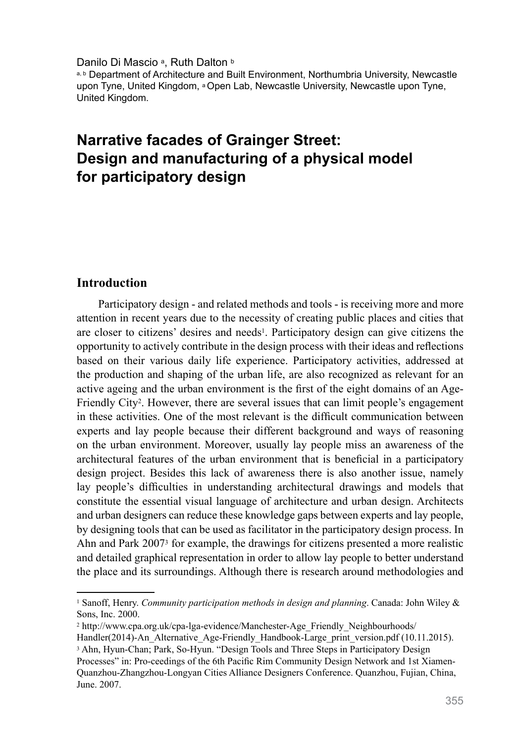Danilo Di Mascio a, Ruth Dalton b

a, b Department of Architecture and Built Environment, Northumbria University, Newcastle upon Tyne, United Kingdom, <sup>a</sup> Open Lab, Newcastle University, Newcastle upon Tyne, United Kingdom.

# **Narrative facades of Grainger Street: Design and manufacturing of a physical model for participatory design**

#### **Introduction**

Participatory design - and related methods and tools - is receiving more and more attention in recent years due to the necessity of creating public places and cities that are closer to citizens' desires and needs1. Participatory design can give citizens the opportunity to actively contribute in the design process with their ideas and reflections based on their various daily life experience. Participatory activities, addressed at the production and shaping of the urban life, are also recognized as relevant for an active ageing and the urban environment is the first of the eight domains of an Age-Friendly City2. However, there are several issues that can limit people's engagement in these activities. One of the most relevant is the difficult communication between experts and lay people because their different background and ways of reasoning on the urban environment. Moreover, usually lay people miss an awareness of the architectural features of the urban environment that is beneficial in a participatory design project. Besides this lack of awareness there is also another issue, namely lay people's difficulties in understanding architectural drawings and models that constitute the essential visual language of architecture and urban design. Architects and urban designers can reduce these knowledge gaps between experts and lay people, by designing tools that can be used as facilitator in the participatory design process. In Ahn and Park 20073 for example, the drawings for citizens presented a more realistic and detailed graphical representation in order to allow lay people to better understand the place and its surroundings. Although there is research around methodologies and

<sup>1</sup> Sanoff, Henry. *Community participation methods in design and planning*. Canada: John Wiley & Sons, Inc. 2000.

<sup>&</sup>lt;sup>2</sup> http://www.cpa.org.uk/cpa-lga-evidence/Manchester-Age\_Friendly\_Neighbourhoods/

Handler(2014)-An\_Alternative\_Age-Friendly\_Handbook-Large\_print\_version.pdf (10.11.2015). <sup>3</sup> Ahn, Hyun-Chan; Park, So-Hyun. "Design Tools and Three Steps in Participatory Design

Processes" in: Pro-ceedings of the 6th Pacific Rim Community Design Network and 1st Xiamen-Quanzhou-Zhangzhou-Longyan Cities Alliance Designers Conference. Quanzhou, Fujian, China, June. 2007.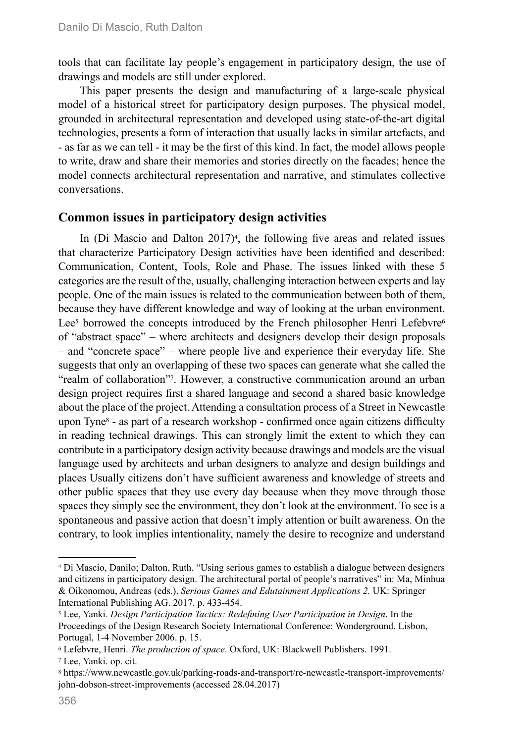tools that can facilitate lay people's engagement in participatory design, the use of drawings and models are still under explored.

This paper presents the design and manufacturing of a large-scale physical model of a historical street for participatory design purposes. The physical model, grounded in architectural representation and developed using state-of-the-art digital technologies, presents a form of interaction that usually lacks in similar artefacts, and - as far as we can tell - it may be the first of this kind. In fact, the model allows people to write, draw and share their memories and stories directly on the facades; hence the model connects architectural representation and narrative, and stimulates collective conversations.

## **Common issues in participatory design activities**

In (Di Mascio and Dalton  $2017$ <sup>4</sup>, the following five areas and related issues that characterize Participatory Design activities have been identified and described: Communication, Content, Tools, Role and Phase. The issues linked with these 5 categories are the result of the, usually, challenging interaction between experts and lay people. One of the main issues is related to the communication between both of them, because they have different knowledge and way of looking at the urban environment. Lee<sup>5</sup> borrowed the concepts introduced by the French philosopher Henri Lefebvre<sup>6</sup> of "abstract space" – where architects and designers develop their design proposals – and "concrete space" – where people live and experience their everyday life. She suggests that only an overlapping of these two spaces can generate what she called the "realm of collaboration"7. However, a constructive communication around an urban design project requires first a shared language and second a shared basic knowledge about the place of the project. Attending a consultation process of a Street in Newcastle upon Tyne8 - as part of a research workshop - confirmed once again citizens difficulty in reading technical drawings. This can strongly limit the extent to which they can contribute in a participatory design activity because drawings and models are the visual language used by architects and urban designers to analyze and design buildings and places Usually citizens don't have sufficient awareness and knowledge of streets and other public spaces that they use every day because when they move through those spaces they simply see the environment, they don't look at the environment. To see is a spontaneous and passive action that doesn't imply attention or built awareness. On the contrary, to look implies intentionality, namely the desire to recognize and understand

<sup>4</sup> Di Mascio, Danilo; Dalton, Ruth. "Using serious games to establish a dialogue between designers and citizens in participatory design. The architectural portal of people's narratives" in: Ma, Minhua & Oikonomou, Andreas (eds.). *Serious Games and Edutainment Applications 2.* UK: Springer International Publishing AG. 2017. p. 433-454.

<sup>5</sup> Lee, Yanki*. Design Participation Tactics: Redefining User Participation in Design*. In the Proceedings of the Design Research Society International Conference: Wonderground. Lisbon, Portugal, 1-4 November 2006. p. 15.

<sup>6</sup> Lefebvre, Henri. *The production of space*. Oxford, UK: Blackwell Publishers. 1991.

<sup>7</sup> Lee, Yanki. op. cit.

<sup>8</sup> https://www.newcastle.gov.uk/parking-roads-and-transport/re-newcastle-transport-improvements/ john-dobson-street-improvements (accessed 28.04.2017)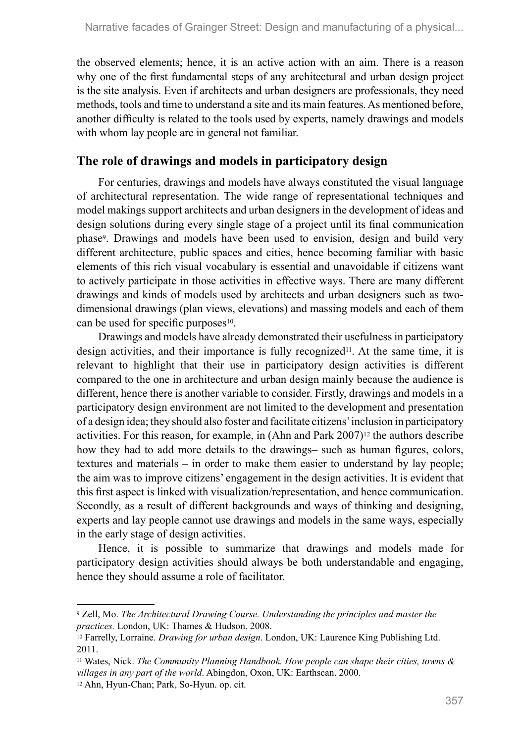the observed elements; hence, it is an active action with an aim. There is a reason why one of the first fundamental steps of any architectural and urban design project is the site analysis. Even if architects and urban designers are professionals, they need methods, tools and time to understand a site and its main features. As mentioned before, another difficulty is related to the tools used by experts, namely drawings and models with whom lay people are in general not familiar.

# **The role of drawings and models in participatory design**

For centuries, drawings and models have always constituted the visual language of architectural representation. The wide range of representational techniques and model makings support architects and urban designers in the development of ideas and design solutions during every single stage of a project until its final communication phase9. Drawings and models have been used to envision, design and build very different architecture, public spaces and cities, hence becoming familiar with basic elements of this rich visual vocabulary is essential and unavoidable if citizens want to actively participate in those activities in effective ways. There are many different drawings and kinds of models used by architects and urban designers such as twodimensional drawings (plan views, elevations) and massing models and each of them can be used for specific purposes<sup>10</sup>.

Drawings and models have already demonstrated their usefulness in participatory design activities, and their importance is fully recognized<sup>11</sup>. At the same time, it is relevant to highlight that their use in participatory design activities is different compared to the one in architecture and urban design mainly because the audience is different, hence there is another variable to consider. Firstly, drawings and models in a participatory design environment are not limited to the development and presentation of a design idea; they should also foster and facilitate citizens' inclusion in participatory activities. For this reason, for example, in (Ahn and Park  $2007$ )<sup>12</sup> the authors describe how they had to add more details to the drawings– such as human figures, colors, textures and materials – in order to make them easier to understand by lay people; the aim was to improve citizens' engagement in the design activities. It is evident that this first aspect is linked with visualization/representation, and hence communication. Secondly, as a result of different backgrounds and ways of thinking and designing, experts and lay people cannot use drawings and models in the same ways, especially in the early stage of design activities.

Hence, it is possible to summarize that drawings and models made for participatory design activities should always be both understandable and engaging, hence they should assume a role of facilitator.

<sup>9</sup> Zell, Mo. *The Architectural Drawing Course. Understanding the principles and master the practices.* London, UK: Thames & Hudson. 2008.

<sup>10</sup> Farrelly, Lorraine. *Drawing for urban design*. London, UK: Laurence King Publishing Ltd. 2011.

<sup>11</sup> Wates, Nick. *The Community Planning Handbook. How people can shape their cities, towns & villages in any part of the world*. Abingdon, Oxon, UK: Earthscan. 2000.

<sup>12</sup> Ahn, Hyun-Chan; Park, So-Hyun. op. cit.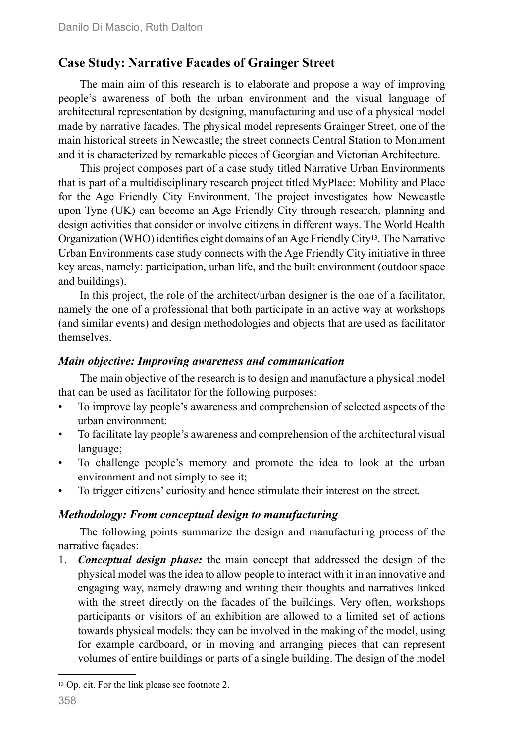# **Case Study: Narrative Facades of Grainger Street**

The main aim of this research is to elaborate and propose a way of improving people's awareness of both the urban environment and the visual language of architectural representation by designing, manufacturing and use of a physical model made by narrative facades. The physical model represents Grainger Street, one of the main historical streets in Newcastle; the street connects Central Station to Monument and it is characterized by remarkable pieces of Georgian and Victorian Architecture.

This project composes part of a case study titled Narrative Urban Environments that is part of a multidisciplinary research project titled MyPlace: Mobility and Place for the Age Friendly City Environment. The project investigates how Newcastle upon Tyne (UK) can become an Age Friendly City through research, planning and design activities that consider or involve citizens in different ways. The World Health Organization (WHO) identifies eight domains of an Age Friendly City13. The Narrative Urban Environments case study connects with the Age Friendly City initiative in three key areas, namely: participation, urban life, and the built environment (outdoor space and buildings).

In this project, the role of the architect/urban designer is the one of a facilitator, namely the one of a professional that both participate in an active way at workshops (and similar events) and design methodologies and objects that are used as facilitator themselves.

#### *Main objective: Improving awareness and communication*

The main objective of the research is to design and manufacture a physical model that can be used as facilitator for the following purposes:

- To improve lay people's awareness and comprehension of selected aspects of the urban environment;
- To facilitate lay people's awareness and comprehension of the architectural visual language;
- To challenge people's memory and promote the idea to look at the urban environment and not simply to see it;
- To trigger citizens' curiosity and hence stimulate their interest on the street.

#### *Methodology: From conceptual design to manufacturing*

The following points summarize the design and manufacturing process of the narrative façades:

1. *Conceptual design phase:* the main concept that addressed the design of the physical model was the idea to allow people to interact with it in an innovative and engaging way, namely drawing and writing their thoughts and narratives linked with the street directly on the facades of the buildings. Very often, workshops participants or visitors of an exhibition are allowed to a limited set of actions towards physical models: they can be involved in the making of the model, using for example cardboard, or in moving and arranging pieces that can represent volumes of entire buildings or parts of a single building. The design of the model

<sup>13</sup> Op. cit. For the link please see footnote 2.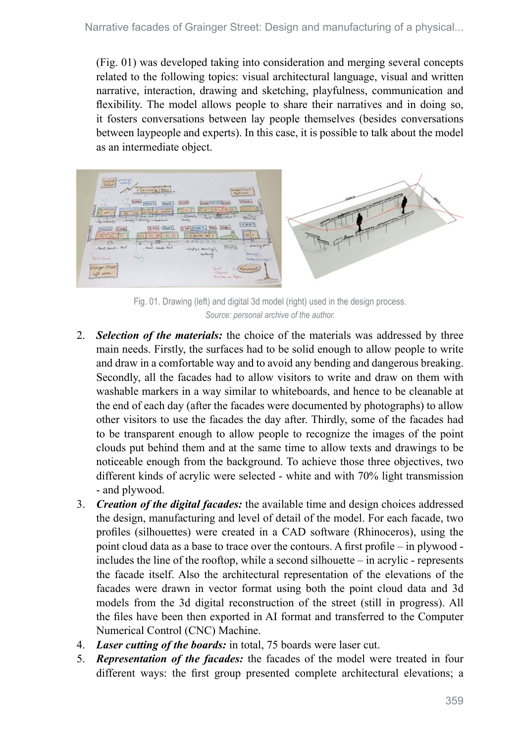(Fig. 01) was developed taking into consideration and merging several concepts related to the following topics: visual architectural language, visual and written narrative, interaction, drawing and sketching, playfulness, communication and flexibility. The model allows people to share their narratives and in doing so, it fosters conversations between lay people themselves (besides conversations between laypeople and experts). In this case, it is possible to talk about the model as an intermediate object.



Fig. 01. Drawing (left) and digital 3d model (right) used in the design process. *Source: personal archive of the author.*

- 2. *Selection of the materials:* the choice of the materials was addressed by three main needs. Firstly, the surfaces had to be solid enough to allow people to write and draw in a comfortable way and to avoid any bending and dangerous breaking. Secondly, all the facades had to allow visitors to write and draw on them with washable markers in a way similar to whiteboards, and hence to be cleanable at the end of each day (after the facades were documented by photographs) to allow other visitors to use the facades the day after. Thirdly, some of the facades had to be transparent enough to allow people to recognize the images of the point clouds put behind them and at the same time to allow texts and drawings to be noticeable enough from the background. To achieve those three objectives, two different kinds of acrylic were selected - white and with 70% light transmission - and plywood.
- 3. *Creation of the digital facades:* the available time and design choices addressed the design, manufacturing and level of detail of the model. For each facade, two profiles (silhouettes) were created in a CAD software (Rhinoceros), using the point cloud data as a base to trace over the contours. A first profile – in plywood includes the line of the rooftop, while a second silhouette – in acrylic - represents the facade itself. Also the architectural representation of the elevations of the facades were drawn in vector format using both the point cloud data and 3d models from the 3d digital reconstruction of the street (still in progress). All the files have been then exported in AI format and transferred to the Computer Numerical Control (CNC) Machine.
- 4. *Laser cutting of the boards:* in total, 75 boards were laser cut.
- 5. *Representation of the facades:* the facades of the model were treated in four different ways: the first group presented complete architectural elevations; a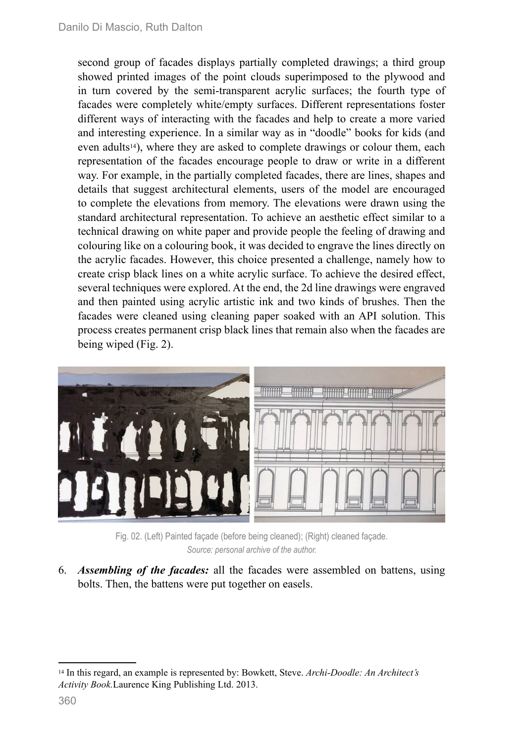second group of facades displays partially completed drawings; a third group showed printed images of the point clouds superimposed to the plywood and in turn covered by the semi-transparent acrylic surfaces; the fourth type of facades were completely white/empty surfaces. Different representations foster different ways of interacting with the facades and help to create a more varied and interesting experience. In a similar way as in "doodle" books for kids (and even adults<sup>14</sup>), where they are asked to complete drawings or colour them, each representation of the facades encourage people to draw or write in a different way. For example, in the partially completed facades, there are lines, shapes and details that suggest architectural elements, users of the model are encouraged to complete the elevations from memory. The elevations were drawn using the standard architectural representation. To achieve an aesthetic effect similar to a technical drawing on white paper and provide people the feeling of drawing and colouring like on a colouring book, it was decided to engrave the lines directly on the acrylic facades. However, this choice presented a challenge, namely how to create crisp black lines on a white acrylic surface. To achieve the desired effect, several techniques were explored. At the end, the 2d line drawings were engraved and then painted using acrylic artistic ink and two kinds of brushes. Then the facades were cleaned using cleaning paper soaked with an API solution. This process creates permanent crisp black lines that remain also when the facades are being wiped (Fig. 2).



Fig. 02. (Left) Painted façade (before being cleaned); (Right) cleaned façade. *Source: personal archive of the author.*

6. *Assembling of the facades:* all the facades were assembled on battens, using bolts. Then, the battens were put together on easels.

<sup>14</sup> In this regard, an example is represented by: Bowkett, Steve. *Archi-Doodle: An Architect's Activity Book.*Laurence King Publishing Ltd. 2013.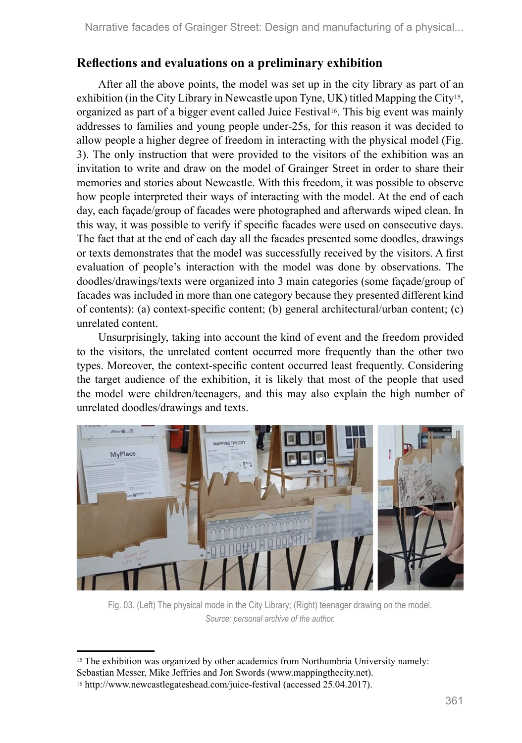# **Reflections and evaluations on a preliminary exhibition**

After all the above points, the model was set up in the city library as part of an exhibition (in the City Library in Newcastle upon Tyne, UK) titled Mapping the City15, organized as part of a bigger event called Juice Festival16. This big event was mainly addresses to families and young people under-25s, for this reason it was decided to allow people a higher degree of freedom in interacting with the physical model (Fig. 3). The only instruction that were provided to the visitors of the exhibition was an invitation to write and draw on the model of Grainger Street in order to share their memories and stories about Newcastle. With this freedom, it was possible to observe how people interpreted their ways of interacting with the model. At the end of each day, each façade/group of facades were photographed and afterwards wiped clean. In this way, it was possible to verify if specific facades were used on consecutive days. The fact that at the end of each day all the facades presented some doodles, drawings or texts demonstrates that the model was successfully received by the visitors. A first evaluation of people's interaction with the model was done by observations. The doodles/drawings/texts were organized into 3 main categories (some façade/group of facades was included in more than one category because they presented different kind of contents): (a) context-specific content; (b) general architectural/urban content; (c) unrelated content.

Unsurprisingly, taking into account the kind of event and the freedom provided to the visitors, the unrelated content occurred more frequently than the other two types. Moreover, the context-specific content occurred least frequently. Considering the target audience of the exhibition, it is likely that most of the people that used the model were children/teenagers, and this may also explain the high number of unrelated doodles/drawings and texts.



Fig. 03. (Left) The physical mode in the City Library; (Right) teenager drawing on the model. *Source: personal archive of the author.*

<sup>15</sup> The exhibition was organized by other academics from Northumbria University namely:

Sebastian Messer, Mike Jeffries and Jon Swords (www.mappingthecity.net).

<sup>16</sup> http://www.newcastlegateshead.com/juice-festival (accessed 25.04.2017).